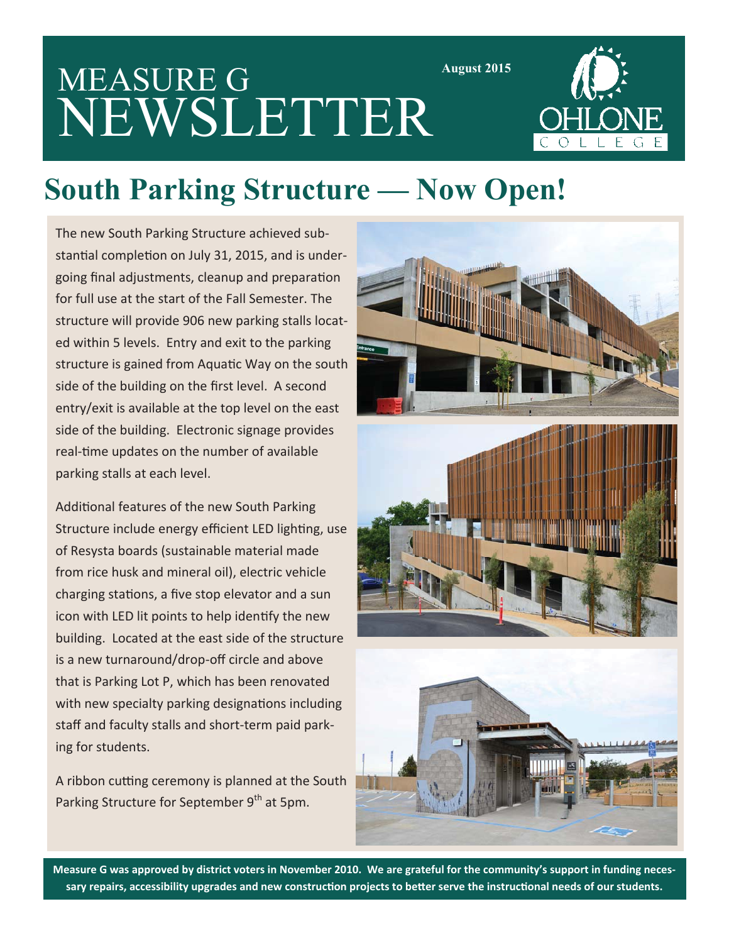# MEASURE G NEWSLETTER



**August 2015** 

#### **South Parking Structure — Now Open!**

The new South Parking Structure achieved substantial completion on July 31, 2015, and is undergoing final adjustments, cleanup and preparation for full use at the start of the Fall Semester. The structure will provide 906 new parking stalls located within 5 levels. Entry and exit to the parking structure is gained from Aquatic Way on the south side of the building on the first level. A second entry/exit is available at the top level on the east side of the building. Electronic signage provides real-time updates on the number of available parking stalls at each level.

Additional features of the new South Parking Structure include energy efficient LED lighting, use of Resysta boards (sustainable material made from rice husk and mineral oil), electric vehicle charging stations, a five stop elevator and a sun icon with LED lit points to help identify the new building. Located at the east side of the structure is a new turnaround/drop-off circle and above that is Parking Lot P, which has been renovated with new specialty parking designations including staff and faculty stalls and short-term paid parking for students.

A ribbon cutting ceremony is planned at the South Parking Structure for September 9<sup>th</sup> at 5pm.



Measure G was approved by district voters in November 2010. We are grateful for the community's support in funding necessary repairs, accessibility upgrades and new construction projects to better serve the instructional needs of our students.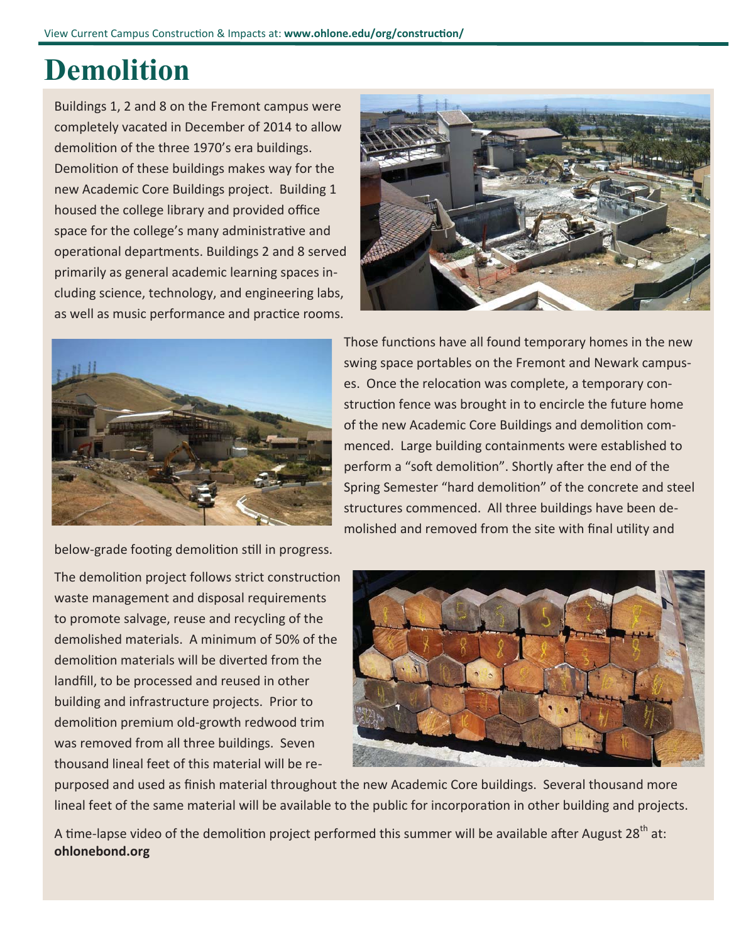## **Demolition**

Buildings 1, 2 and 8 on the Fremont campus were completely vacated in December of 2014 to allow demolition of the three 1970's era buildings. Demolition of these buildings makes way for the new Academic Core Buildings project. Building 1 housed the college library and provided office space for the college's many administrative and operaƟonal departments. Buildings 2 and 8 served primarily as general academic learning spaces including science, technology, and engineering labs, as well as music performance and practice rooms.





below-grade footing demolition still in progress.

The demolition project follows strict construction waste management and disposal requirements to promote salvage, reuse and recycling of the demolished materials. A minimum of 50% of the demolition materials will be diverted from the landfill, to be processed and reused in other building and infrastructure projects. Prior to demolition premium old-growth redwood trim was removed from all three buildings. Seven thousand lineal feet of this material will be re-

purposed and used as finish material throughout the new Academic Core buildings. Several thousand more lineal feet of the same material will be available to the public for incorporation in other building and projects.

A time-lapse video of the demolition project performed this summer will be available after August 28<sup>th</sup> at: **ohlonebond.org**

Those functions have all found temporary homes in the new swing space portables on the Fremont and Newark campuses. Once the relocation was complete, a temporary construction fence was brought in to encircle the future home of the new Academic Core Buildings and demolition commenced. Large building containments were established to perform a "soft demolition". Shortly after the end of the Spring Semester "hard demolition" of the concrete and steel structures commenced. All three buildings have been demolished and removed from the site with final utility and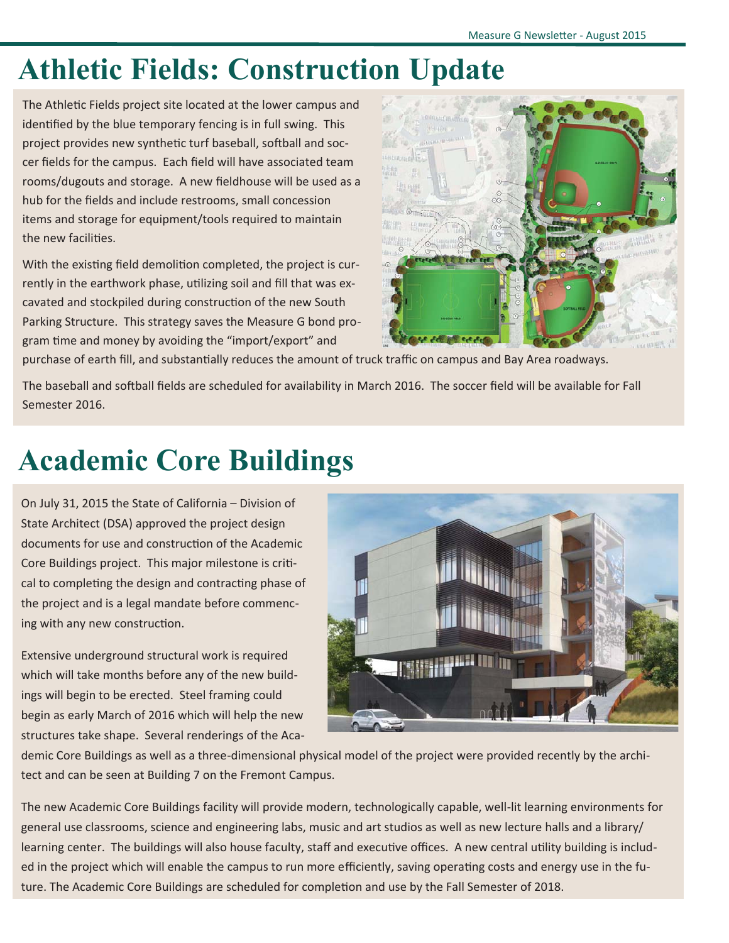## **Athletic Fields: Construction Update**

The Athletic Fields project site located at the lower campus and identified by the blue temporary fencing is in full swing. This project provides new synthetic turf baseball, softball and soccer fields for the campus. Each field will have associated team rooms/dugouts and storage. A new fieldhouse will be used as a hub for the fields and include restrooms, small concession items and storage for equipment/tools required to maintain the new facilities.

With the existing field demolition completed, the project is currently in the earthwork phase, utilizing soil and fill that was excavated and stockpiled during construction of the new South Parking Structure. This strategy saves the Measure G bond program time and money by avoiding the "import/export" and



purchase of earth fill, and substantially reduces the amount of truck traffic on campus and Bay Area roadways.

The baseball and softball fields are scheduled for availability in March 2016. The soccer field will be available for Fall Semester 2016.

## **Academic Core Buildings**

On July 31, 2015 the State of California – Division of State Architect (DSA) approved the project design documents for use and construction of the Academic Core Buildings project. This major milestone is critical to completing the design and contracting phase of the project and is a legal mandate before commencing with any new construction.

Extensive underground structural work is required which will take months before any of the new buildings will begin to be erected. Steel framing could begin as early March of 2016 which will help the new structures take shape. Several renderings of the Aca-



demic Core Buildings as well as a three-dimensional physical model of the project were provided recently by the architect and can be seen at Building 7 on the Fremont Campus.

The new Academic Core Buildings facility will provide modern, technologically capable, well-lit learning environments for general use classrooms, science and engineering labs, music and art studios as well as new lecture halls and a library/ learning center. The buildings will also house faculty, staff and executive offices. A new central utility building is included in the project which will enable the campus to run more efficiently, saving operating costs and energy use in the future. The Academic Core Buildings are scheduled for completion and use by the Fall Semester of 2018.